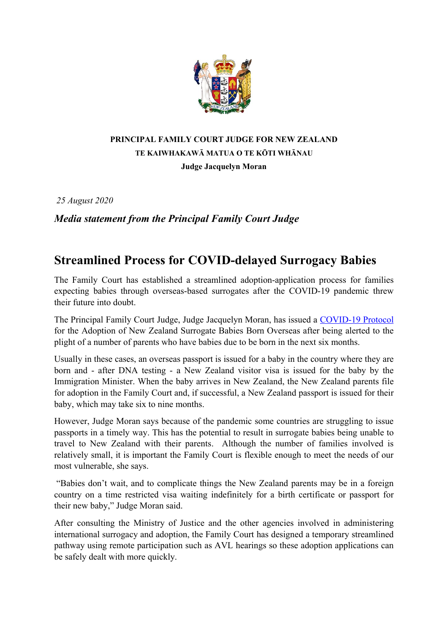

## **PRINCIPAL FAMILY COURT JUDGE FOR NEW ZEALAND TE KAIWHAKAWĀ MATUA O TE KŌTI WHĀNAU Judge Jacquelyn Moran**

*25 August 2020*

*Media statement from the Principal Family Court Judge*

## **Streamlined Process for COVID-delayed Surrogacy Babies**

The Family Court has established a streamlined adoption-application process for families expecting babies through overseas-based surrogates after the COVID-19 pandemic threw their future into doubt.

The Principal Family Court Judge, Judge Jacquelyn Moran, has issued a [COVID-19 Protocol](https://www.districtcourts.govt.nz/covid-19-information/family-court-covid-19-protocol-for-the-adoption-of-new-zealand-surrogate-babies-born-overseas/) for the Adoption of New Zealand Surrogate Babies Born Overseas after being alerted to the plight of a number of parents who have babies due to be born in the next six months.

Usually in these cases, an overseas passport is issued for a baby in the country where they are born and - after DNA testing - a New Zealand visitor visa is issued for the baby by the Immigration Minister. When the baby arrives in New Zealand, the New Zealand parents file for adoption in the Family Court and, if successful, a New Zealand passport is issued for their baby, which may take six to nine months.

However, Judge Moran says because of the pandemic some countries are struggling to issue passports in a timely way. This has the potential to result in surrogate babies being unable to travel to New Zealand with their parents. Although the number of families involved is relatively small, it is important the Family Court is flexible enough to meet the needs of our most vulnerable, she says.

"Babies don't wait, and to complicate things the New Zealand parents may be in a foreign country on a time restricted visa waiting indefinitely for a birth certificate or passport for their new baby," Judge Moran said.

After consulting the Ministry of Justice and the other agencies involved in administering international surrogacy and adoption, the Family Court has designed a temporary streamlined pathway using remote participation such as AVL hearings so these adoption applications can be safely dealt with more quickly.